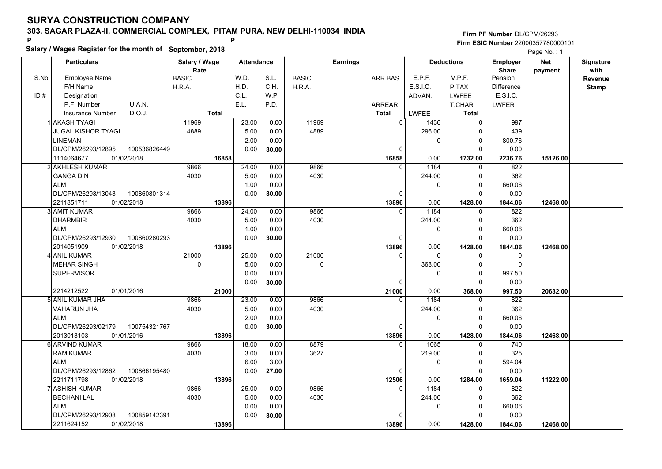**Salary / Wages Register for the month of September, 2018 <sup>P</sup> <sup>P</sup>**

### **Firm PF Number**DL/CPM/26293**Firm ESIC Number** 22000357780000101

|       | <b>Particulars</b>        |              | Salary / Wage        |              | <b>Attendance</b> |       |              | <b>Earnings</b> |                |              | <b>Deductions</b> | <b>Employer</b>         | <b>Net</b> | Signature       |
|-------|---------------------------|--------------|----------------------|--------------|-------------------|-------|--------------|-----------------|----------------|--------------|-------------------|-------------------------|------------|-----------------|
| S.No. | <b>Employee Name</b>      |              | Rate<br><b>BASIC</b> |              | W.D.              | S.L.  | <b>BASIC</b> | ARR.BAS         |                | E.P.F.       | V.P.F.            | <b>Share</b><br>Pension | payment    | with<br>Revenue |
|       | F/H Name                  |              | H.R.A.               |              | H.D.              | C.H.  | H.R.A.       |                 |                | E.S.I.C.     | P.TAX             | <b>Difference</b>       |            | <b>Stamp</b>    |
| ID#   | Designation               |              |                      |              | C.L.              | W.P.  |              |                 |                | ADVAN.       | <b>LWFEE</b>      | E.S.I.C.                |            |                 |
|       | P.F. Number               | U.A.N.       |                      |              | E.L.              | P.D.  |              | ARREAR          |                |              | T.CHAR            | <b>LWFER</b>            |            |                 |
|       |                           | D.O.J.       |                      | <b>Total</b> |                   |       |              |                 |                | <b>LWFEE</b> |                   |                         |            |                 |
|       | <b>Insurance Number</b>   |              |                      |              |                   |       |              | <b>Total</b>    |                |              | Total             |                         |            |                 |
|       | 1İ AKASH TYAGI            |              | 11969                |              | 23.00             | 0.00  | 11969        |                 | $\overline{0}$ | 1436         | $\mathbf 0$       | 997                     |            |                 |
|       | <b>JUGAL KISHOR TYAGI</b> |              | 4889                 |              | 5.00              | 0.00  | 4889         |                 |                | 296.00       | 0                 | 439                     |            |                 |
|       | <b>LINEMAN</b>            |              |                      |              | 2.00              | 0.00  |              |                 |                | 0            | $\Omega$          | 800.76                  |            |                 |
|       | DL/CPM/26293/12895        | 100536826449 |                      |              | 0.00              | 30.00 |              |                 | $\mathbf 0$    |              | $\Omega$          | 0.00                    |            |                 |
|       | 1114064677                | 01/02/2018   |                      | 16858        |                   |       |              |                 | 16858          | 0.00         | 1732.00           | 2236.76                 | 15126.00   |                 |
|       | 2 AKHLESH KUMAR           |              | 9866                 |              | 24.00             | 0.00  | 9866         |                 | $\Omega$       | 1184         | $\Omega$          | 822                     |            |                 |
|       | <b>GANGA DIN</b>          |              | 4030                 |              | 5.00              | 0.00  | 4030         |                 |                | 244.00       | $\mathbf 0$       | 362                     |            |                 |
|       | <b>ALM</b>                |              |                      |              | 1.00              | 0.00  |              |                 |                | 0            | $\Omega$          | 660.06                  |            |                 |
|       | DL/CPM/26293/13043        | 100860801314 |                      |              | 0.00              | 30.00 |              |                 | $\Omega$       |              | $\Omega$          | 0.00                    |            |                 |
|       | 2211851711                | 01/02/2018   |                      | 13896        |                   |       |              |                 | 13896          | 0.00         | 1428.00           | 1844.06                 | 12468.00   |                 |
|       | 3 AMIT KUMAR              |              | 9866                 |              | 24.00             | 0.00  | 9866         |                 | $\Omega$       | 1184         | $\mathbf 0$       | 822                     |            |                 |
|       | <b>DHARMBIR</b>           |              | 4030                 |              | 5.00              | 0.00  | 4030         |                 |                | 244.00       | $\Omega$          | 362                     |            |                 |
|       | <b>ALM</b>                |              |                      |              | 1.00              | 0.00  |              |                 |                | 0            | $\Omega$          | 660.06                  |            |                 |
|       | DL/CPM/26293/12930        | 100860280293 |                      |              | 0.00              | 30.00 |              |                 | $\mathbf 0$    |              | $\Omega$          | 0.00                    |            |                 |
|       | 2014051909                | 01/02/2018   |                      | 13896        |                   |       |              |                 | 13896          | 0.00         | 1428.00           | 1844.06                 | 12468.00   |                 |
|       | 4 ANIL KUMAR              |              | 21000                |              | 25.00             | 0.00  | 21000        |                 | $\Omega$       | $\mathbf{0}$ | $\mathbf{0}$      | $\mathbf 0$             |            |                 |
|       | MEHAR SINGH               |              | 0                    |              | 5.00              | 0.00  | 0            |                 |                | 368.00       | $\mathbf 0$       | $\mathbf 0$             |            |                 |
|       | <b>SUPERVISOR</b>         |              |                      |              | 0.00              | 0.00  |              |                 |                | 0            | $\Omega$          | 997.50                  |            |                 |
|       |                           |              |                      |              | 0.00              | 30.00 |              |                 | $\Omega$       |              | $\Omega$          | 0.00                    |            |                 |
|       | 2214212522                | 01/01/2016   |                      | 21000        |                   |       |              |                 | 21000          | 0.00         | 368.00            | 997.50                  | 20632.00   |                 |
|       | 5 ANIL KUMAR JHA          |              | 9866                 |              | 23.00             | 0.00  | 9866         |                 | $\Omega$       | 1184         | $\Omega$          | 822                     |            |                 |
|       | <b>VAHARUN JHA</b>        |              | 4030                 |              | 5.00              | 0.00  | 4030         |                 |                | 244.00       | $\Omega$          | 362                     |            |                 |
|       | <b>ALM</b>                |              |                      |              | 2.00              | 0.00  |              |                 |                | 0            | $\mathbf 0$       | 660.06                  |            |                 |
|       | DL/CPM/26293/02179        | 100754321767 |                      |              | 0.00              | 30.00 |              |                 | 0              |              | $\Omega$          | 0.00                    |            |                 |
|       | 2013013103                | 01/01/2016   |                      | 13896        |                   |       |              |                 | 13896          | 0.00         | 1428.00           | 1844.06                 | 12468.00   |                 |
|       | 6 ARVIND KUMAR            |              | 9866                 |              | 18.00             | 0.00  | 8879         |                 | $\Omega$       | 1065         | $\Omega$          | 740                     |            |                 |
|       | <b>RAM KUMAR</b>          |              | 4030                 |              | 3.00              | 0.00  | 3627         |                 |                | 219.00       | $\Omega$          | 325                     |            |                 |
|       | <b>ALM</b>                |              |                      |              | 6.00              | 3.00  |              |                 |                | 0            | $\Omega$          | 594.04                  |            |                 |
|       | DL/CPM/26293/12862        | 100866195480 |                      |              | 0.00              | 27.00 |              |                 | $\mathbf 0$    |              | $\Omega$          | 0.00                    |            |                 |
|       | 2211711798                | 01/02/2018   |                      | 13896        |                   |       |              |                 | 12506          | 0.00         | 1284.00           | 1659.04                 | 11222.00   |                 |
|       | 7 ASHISH KUMAR            |              | 9866                 |              | 25.00             | 0.00  | 9866         |                 | $\Omega$       | 1184         | 0                 | 822                     |            |                 |
|       | <b>BECHANI LAL</b>        |              | 4030                 |              | 5.00              | 0.00  | 4030         |                 |                | 244.00       | $\Omega$          | 362                     |            |                 |
|       | <b>ALM</b>                |              |                      |              | 0.00              | 0.00  |              |                 |                | 0            | $\Omega$          | 660.06                  |            |                 |
|       | DL/CPM/26293/12908        | 100859142391 |                      |              | 0.00              | 30.00 |              |                 | $\Omega$       |              | $\Omega$          | 0.00                    |            |                 |
|       | 2211624152                | 01/02/2018   |                      | 13896        |                   |       |              |                 | 13896          | 0.00         | 1428.00           | 1844.06                 | 12468.00   |                 |
|       |                           |              |                      |              |                   |       |              |                 |                |              |                   |                         |            |                 |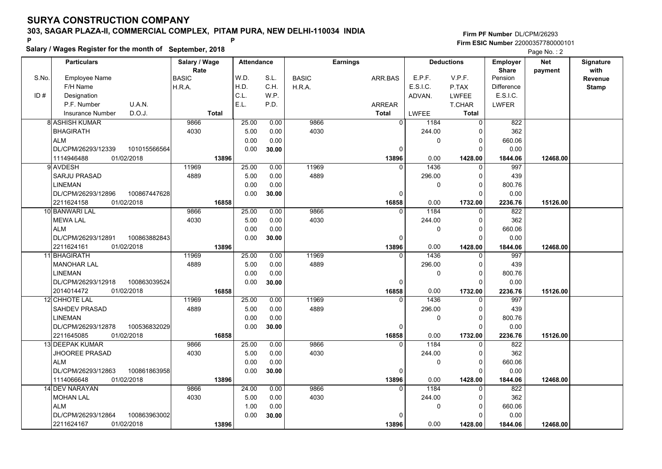**Salary / Wages Register for the month of September, 2018 <sup>P</sup> <sup>P</sup>**

### **Firm PF Number**DL/CPM/26293**Firm ESIC Number** 22000357780000101

|       | <b>Particulars</b>                 | Salary / Wage<br>Rate | <b>Attendance</b> |       |              | <b>Earnings</b> |                        | <b>Deductions</b> | Employer<br><b>Share</b> | <b>Net</b> | Signature<br>with |
|-------|------------------------------------|-----------------------|-------------------|-------|--------------|-----------------|------------------------|-------------------|--------------------------|------------|-------------------|
| S.No. | Employee Name                      | <b>BASIC</b>          | W.D.              | S.L.  | <b>BASIC</b> | ARR BAS         | E.P.F.                 | V.P.F.            | Pension                  | payment    | Revenue           |
|       | F/H Name                           | H.R.A.                | H.D.              | C.H.  | H.R.A.       |                 | E.S.I.C.               | P.TAX             | Difference               |            | <b>Stamp</b>      |
| ID#   | Designation                        |                       | C.L.              | W.P.  |              |                 | ADVAN.                 | <b>LWFEE</b>      | E.S.I.C.                 |            |                   |
|       | U.A.N.<br>P.F. Number              |                       | E.L.              | P.D.  |              | <b>ARREAR</b>   |                        | <b>T.CHAR</b>     | <b>LWFER</b>             |            |                   |
|       | D.O.J.<br>Insurance Number         | <b>Total</b>          |                   |       |              | Total           | LWFEE                  | <b>Total</b>      |                          |            |                   |
|       | 8 ASHISH KUMAR                     | 9866                  | 25.00             | 0.00  | 9866         |                 | $\overline{0}$<br>1184 | $\Omega$          | 822                      |            |                   |
|       | <b>BHAGIRATH</b>                   | 4030                  | 5.00              | 0.00  | 4030         |                 | 244.00                 | 0                 | 362                      |            |                   |
|       | <b>ALM</b>                         |                       | 0.00              | 0.00  |              |                 | $\Omega$               | $\mathbf 0$       | 660.06                   |            |                   |
|       | DL/CPM/26293/12339<br>101015566564 |                       | 0.00              | 30.00 |              |                 | $\Omega$               | $\Omega$          | 0.00                     |            |                   |
|       | 1114946488<br>01/02/2018           | 13896                 |                   |       |              | 13896           | 0.00                   | 1428.00           | 1844.06                  | 12468.00   |                   |
|       | 9 AVDESH                           | 11969                 | 25.00             | 0.00  | 11969        |                 | 1436<br><sup>0</sup>   | 0                 | 997                      |            |                   |
|       | <b>SARJU PRASAD</b>                | 4889                  | 5.00              | 0.00  | 4889         |                 | 296.00                 | 0                 | 439                      |            |                   |
|       | <b>LINEMAN</b>                     |                       | 0.00              | 0.00  |              |                 | 0                      | $\mathbf 0$       | 800.76                   |            |                   |
|       | DL/CPM/26293/12896<br>100867447628 |                       | 0.00              | 30.00 |              |                 | 0                      | 0                 | 0.00                     |            |                   |
|       | 01/02/2018<br>2211624158           | 16858                 |                   |       |              | 16858           | 0.00                   | 1732.00           | 2236.76                  | 15126.00   |                   |
|       | 10 BANWARI LAL                     | 9866                  | 25.00             | 0.00  | 9866         |                 | 1184<br>$\Omega$       | $\mathbf 0$       | 822                      |            |                   |
|       | <b>MEWA LAL</b>                    | 4030                  | 5.00              | 0.00  | 4030         |                 | 244.00                 | 0                 | 362                      |            |                   |
|       | <b>ALM</b>                         |                       | 0.00              | 0.00  |              |                 | 0                      | $\mathbf 0$       | 660.06                   |            |                   |
|       | DL/CPM/26293/12891<br>100863882843 |                       | 0.00              | 30.00 |              |                 | 0                      | $\Omega$          | 0.00                     |            |                   |
|       | 01/02/2018<br>2211624161           | 13896                 |                   |       |              | 13896           | 0.00                   | 1428.00           | 1844.06                  | 12468.00   |                   |
|       | 11 BHAGIRATH                       | 11969                 | 25.00             | 0.00  | 11969        |                 | 1436<br>$\Omega$       | 0                 | 997                      |            |                   |
|       | <b>MANOHAR LAL</b>                 | 4889                  | 5.00              | 0.00  | 4889         |                 | 296.00                 | 0                 | 439                      |            |                   |
|       | <b>LINEMAN</b>                     |                       | 0.00              | 0.00  |              |                 | 0                      | $\Omega$          | 800.76                   |            |                   |
|       | DL/CPM/26293/12918<br>100863039524 |                       | 0.00              | 30.00 |              |                 | $\Omega$               | $\Omega$          | 0.00                     |            |                   |
|       | 2014014472<br>01/02/2018           | 16858                 |                   |       |              | 16858           | 0.00                   | 1732.00           | 2236.76                  | 15126.00   |                   |
|       | 12 CHHOTE LAL                      | 11969                 | 25.00             | 0.00  | 11969        |                 | 1436<br>$\Omega$       | $\Omega$          | 997                      |            |                   |
|       | SAHDEV PRASAD                      | 4889                  | 5.00              | 0.00  | 4889         |                 | 296.00                 | $\mathbf 0$       | 439                      |            |                   |
|       | <b>LINEMAN</b>                     |                       | 0.00              | 0.00  |              |                 | 0                      | $\mathbf 0$       | 800.76                   |            |                   |
|       | 100536832029<br>DL/CPM/26293/12878 |                       | 0.00              | 30.00 |              |                 | 0                      | $\Omega$          | 0.00                     |            |                   |
|       | 01/02/2018<br>2211645085           | 16858                 |                   |       |              | 16858           | 0.00                   | 1732.00           | 2236.76                  | 15126.00   |                   |
|       | 13 DEEPAK KUMAR                    | 9866                  | 25.00             | 0.00  | 9866         |                 | 1184<br>$\Omega$       | $\mathbf 0$       | 822                      |            |                   |
|       | JHOOREE PRASAD                     | 4030                  | 5.00              | 0.00  | 4030         |                 | 244.00                 | 0                 | 362                      |            |                   |
|       | <b>ALM</b>                         |                       | 0.00              | 0.00  |              |                 | 0                      | 0                 | 660.06                   |            |                   |
|       | DL/CPM/26293/12863<br>100861863958 |                       | 0.00              | 30.00 |              |                 | 0                      | $\Omega$          | 0.00                     |            |                   |
|       | 1114066648<br>01/02/2018           | 13896                 |                   |       |              | 13896           | 0.00                   | 1428.00           | 1844.06                  | 12468.00   |                   |
|       | 14 DEV NARAYAN                     | 9866                  | 24.00             | 0.00  | 9866         |                 | 1184<br>$\Omega$       | $\Omega$          | 822                      |            |                   |
|       | <b>MOHAN LAL</b>                   | 4030                  | 5.00              | 0.00  | 4030         |                 | 244.00                 | $\mathbf 0$       | 362                      |            |                   |
|       | <b>ALM</b>                         |                       | 1.00              | 0.00  |              |                 | 0                      | $\mathbf 0$       | 660.06                   |            |                   |
|       | DL/CPM/26293/12864<br>100863963002 |                       | 0.00              | 30.00 |              |                 | O                      | $\Omega$          | 0.00                     |            |                   |
|       | 01/02/2018<br>2211624167           | 13896                 |                   |       |              | 13896           | 0.00                   | 1428.00           | 1844.06                  | 12468.00   |                   |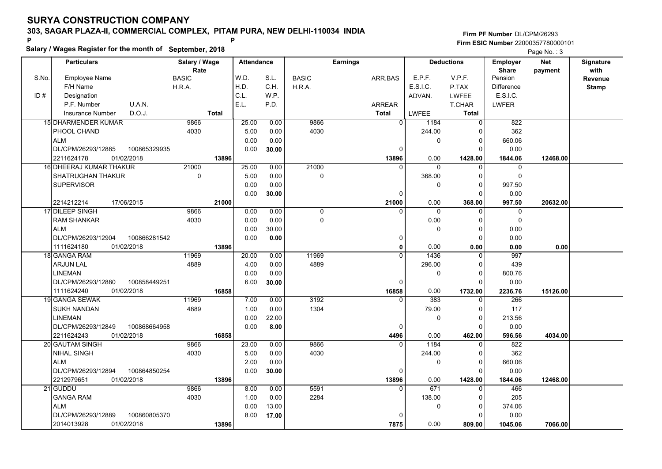**Salary / Wages Register for the month of September, 2018 <sup>P</sup> <sup>P</sup>**

### **Firm PF Number**DL/CPM/26293**Firm ESIC Number** 22000357780000101

|       | <b>Particulars</b>                 | Salary / Wage        | <b>Attendance</b> |       |              | <b>Earnings</b> |              | <b>Deductions</b> | Employer                | <b>Net</b> | Signature              |
|-------|------------------------------------|----------------------|-------------------|-------|--------------|-----------------|--------------|-------------------|-------------------------|------------|------------------------|
| S.No. | Employee Name                      | Rate<br><b>BASIC</b> | W.D.              | S.L.  | <b>BASIC</b> | ARR BAS         | E.P.F.       | V.P.F.            | <b>Share</b><br>Pension | payment    | with<br><b>Revenue</b> |
|       | F/H Name                           | H.R.A.               | H.D.              | C.H.  | H.R.A.       |                 | E.S.I.C.     | P.TAX             | Difference              |            | <b>Stamp</b>           |
| ID#   | Designation                        |                      | C.L.              | W.P.  |              |                 | ADVAN.       | <b>LWFEE</b>      | E.S.I.C.                |            |                        |
|       | U.A.N.<br>P.F. Number              |                      | E.L.              | P.D.  |              | ARREAR          |              | <b>T.CHAR</b>     | <b>LWFER</b>            |            |                        |
|       | D.O.J.<br><b>Insurance Number</b>  | <b>Total</b>         |                   |       |              | <b>Total</b>    | <b>LWFEE</b> | <b>Total</b>      |                         |            |                        |
|       | <b>15 DHARMENDER KUMAR</b>         | 9866                 | 25.00             | 0.00  | 9866         | $\overline{0}$  | 1184         | $\mathbf 0$       | 822                     |            |                        |
|       | PHOOL CHAND                        | 4030                 | 5.00              | 0.00  | 4030         |                 | 244.00       | $\Omega$          | 362                     |            |                        |
|       | <b>ALM</b>                         |                      | 0.00              | 0.00  |              |                 | 0            | 0                 | 660.06                  |            |                        |
|       | DL/CPM/26293/12885<br>100865329935 |                      | 0.00              | 30.00 |              | $\mathbf 0$     |              | $\Omega$          | 0.00                    |            |                        |
|       | 2211624178<br>01/02/2018           | 13896                |                   |       |              | 13896           | 0.00         | 1428.00           | 1844.06                 | 12468.00   |                        |
|       | 16 DHEERAJ KUMAR THAKUR            | 21000                | 25.00             | 0.00  | 21000        | $\Omega$        | $\mathbf 0$  | 0                 | $\mathbf 0$             |            |                        |
|       | <b>SHATRUGHAN THAKUR</b>           | $\pmb{0}$            | 5.00              | 0.00  | $\pmb{0}$    |                 | 368.00       | $\Omega$          | $\pmb{0}$               |            |                        |
|       | <b>SUPERVISOR</b>                  |                      | 0.00              | 0.00  |              |                 | $\mathbf 0$  | $\mathbf 0$       | 997.50                  |            |                        |
|       |                                    |                      | 0.00              | 30.00 |              | $\mathbf 0$     |              | $\Omega$          | 0.00                    |            |                        |
|       | 2214212214<br>17/06/2015           | 21000                |                   |       |              | 21000           | 0.00         | 368.00            | 997.50                  | 20632.00   |                        |
|       | 17 DILEEP SINGH                    | 9866                 | 0.00              | 0.00  | 0            | $\Omega$        | $\Omega$     | $\Omega$          | $\mathbf 0$             |            |                        |
|       | <b>RAM SHANKAR</b>                 | 4030                 | 0.00              | 0.00  | $\mathbf 0$  |                 | 0.00         | $\Omega$          | $\mathbf 0$             |            |                        |
|       | <b>ALM</b>                         |                      | 0.00              | 30.00 |              |                 | 0            | $\mathbf 0$       | 0.00                    |            |                        |
|       | DL/CPM/26293/12904<br>100866281542 |                      | 0.00              | 0.00  |              | 0               |              | $\mathbf 0$       | 0.00                    |            |                        |
|       | 01/02/2018<br>1111624180           | 13896                |                   |       |              | $\mathbf{0}$    | 0.00         | 0.00              | 0.00                    | 0.00       |                        |
|       | 18 GANGA RAM                       | 11969                | 20.00             | 0.00  | 11969        | $\Omega$        | 1436         | 0                 | 997                     |            |                        |
|       | <b>ARJUN LAL</b>                   | 4889                 | 4.00              | 0.00  | 4889         |                 | 296.00       | $\mathbf 0$       | 439                     |            |                        |
|       | <b>LINEMAN</b>                     |                      | 0.00              | 0.00  |              |                 | 0            | $\Omega$          | 800.76                  |            |                        |
|       | DL/CPM/26293/12880<br>100858449251 |                      | 6.00              | 30.00 |              | $\mathbf 0$     |              | $\Omega$          | 0.00                    |            |                        |
|       | 1111624240<br>01/02/2018           | 16858                |                   |       |              | 16858           | 0.00         | 1732.00           | 2236.76                 | 15126.00   |                        |
|       | 19 GANGA SEWAK                     | 11969                | 7.00              | 0.00  | 3192         | $\Omega$        | 383          | $\Omega$          | 266                     |            |                        |
|       | <b>SUKH NANDAN</b>                 | 4889                 | 1.00              | 0.00  | 1304         |                 | 79.00        | $\Omega$          | 117                     |            |                        |
|       | <b>LINEMAN</b>                     |                      | 0.00              | 22.00 |              |                 | 0            | $\mathbf 0$       | 213.56                  |            |                        |
|       | DL/CPM/26293/12849<br>100868664958 |                      | 0.00              | 8.00  |              | $\mathbf 0$     |              | $\Omega$          | 0.00                    |            |                        |
|       | 01/02/2018<br>2211624243           | 16858                |                   |       |              | 4496            | 0.00         | 462.00            | 596.56                  | 4034.00    |                        |
|       | <b>20 GAUTAM SINGH</b>             | 9866                 | 23.00             | 0.00  | 9866         | $\Omega$        | 1184         | $\Omega$          | 822                     |            |                        |
|       | <b>NIHAL SINGH</b>                 | 4030                 | 5.00              | 0.00  | 4030         |                 | 244.00       | $\Omega$          | 362                     |            |                        |
|       | <b>ALM</b>                         |                      | 2.00              | 0.00  |              |                 | 0            | $\mathbf 0$       | 660.06                  |            |                        |
|       | DL/CPM/26293/12894<br>100864850254 |                      | 0.00              | 30.00 |              | $\mathbf 0$     |              | $\Omega$          | 0.00                    |            |                        |
|       | 2212979651<br>01/02/2018           | 13896                |                   |       |              | 13896           | 0.00         | 1428.00           | 1844.06                 | 12468.00   |                        |
|       | 21 GUDDU                           | 9866                 | 8.00              | 0.00  | 5591         | $\overline{0}$  | 671          | $\overline{0}$    | 466                     |            |                        |
|       | <b>GANGA RAM</b>                   | 4030                 | 1.00              | 0.00  | 2284         |                 | 138.00       | $\Omega$          | 205                     |            |                        |
|       | <b>ALM</b>                         |                      | 0.00              | 13.00 |              |                 | 0            | $\mathbf 0$       | 374.06                  |            |                        |
|       | DL/CPM/26293/12889<br>100860805370 |                      | 8.00              | 17.00 |              | 0               |              | $\Omega$          | 0.00                    |            |                        |
|       | 2014013928<br>01/02/2018           | 13896                |                   |       |              | 7875            | 0.00         | 809.00            | 1045.06                 | 7066.00    |                        |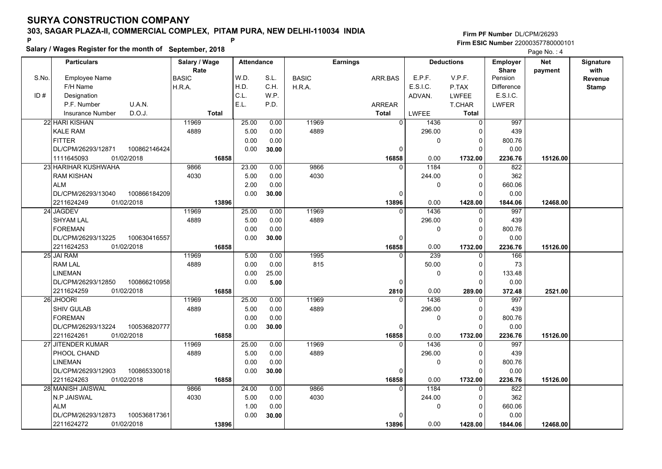**Salary / Wages Register for the month of September, 2018 <sup>P</sup> <sup>P</sup>**

### **Firm PF Number**DL/CPM/26293**Firm ESIC Number** 22000357780000101

|       | <b>Particulars</b>                 | Salary / Wage        | <b>Attendance</b> |       |              | <b>Earnings</b> |              | <b>Deductions</b> | Employer                | <b>Net</b> | Signature       |
|-------|------------------------------------|----------------------|-------------------|-------|--------------|-----------------|--------------|-------------------|-------------------------|------------|-----------------|
| S.No. | Employee Name                      | Rate<br><b>BASIC</b> | W.D.              | S.L.  | <b>BASIC</b> | ARR BAS         | E.P.F.       | V.P.F.            | <b>Share</b><br>Pension | payment    | with<br>Revenue |
|       | F/H Name                           | H.R.A.               | H.D.              | C.H.  | H.R.A.       |                 | E.S.I.C.     | P.TAX             | <b>Difference</b>       |            | <b>Stamp</b>    |
| ID#   | Designation                        |                      | C.L.              | W.P.  |              |                 | ADVAN.       | LWFEE             | E.S.I.C.                |            |                 |
|       | U.A.N.<br>P.F. Number              |                      | E.L.              | P.D.  |              | <b>ARREAR</b>   |              | T.CHAR            | <b>LWFER</b>            |            |                 |
|       | D.O.J.<br><b>Insurance Number</b>  | <b>Total</b>         |                   |       |              | <b>Total</b>    | <b>LWFEE</b> | <b>Total</b>      |                         |            |                 |
|       | 22 HARI KISHAN                     | 11969                | 25.00             | 0.00  | 11969        | $\overline{0}$  | 1436         | $\mathbf 0$       | 997                     |            |                 |
|       | <b>KALE RAM</b>                    | 4889                 | 5.00              | 0.00  | 4889         |                 | 296.00       | $\Omega$          | 439                     |            |                 |
|       | <b>FITTER</b>                      |                      | 0.00              | 0.00  |              |                 | 0            | 0                 | 800.76                  |            |                 |
|       | DL/CPM/26293/12871<br>100862146424 |                      | 0.00              | 30.00 |              | $\Omega$        |              | $\Omega$          | 0.00                    |            |                 |
|       | 01/02/2018<br>1111645093           | 16858                |                   |       |              | 16858           | 0.00         | 1732.00           | 2236.76                 | 15126.00   |                 |
|       | 23 HARIHAR KUSHWAHA                | 9866                 | 23.00             | 0.00  | 9866         | 0               | 1184         | 0                 | 822                     |            |                 |
|       | <b>RAM KISHAN</b>                  | 4030                 | 5.00              | 0.00  | 4030         |                 | 244.00       | $\Omega$          | 362                     |            |                 |
|       | <b>ALM</b>                         |                      | 2.00              | 0.00  |              |                 | 0            | $\mathbf 0$       | 660.06                  |            |                 |
|       | DL/CPM/26293/13040<br>100866184209 |                      | 0.00              | 30.00 |              | $\Omega$        |              | $\Omega$          | 0.00                    |            |                 |
|       | 01/02/2018<br>2211624249           | 13896                |                   |       |              | 13896           | 0.00         | 1428.00           | 1844.06                 | 12468.00   |                 |
|       | 24 JAGDEV                          | 11969                | 25.00             | 0.00  | 11969        | $\Omega$        | 1436         | $\Omega$          | 997                     |            |                 |
|       | <b>SHYAM LAL</b>                   | 4889                 | 5.00              | 0.00  | 4889         |                 | 296.00       | 0                 | 439                     |            |                 |
|       | <b>FOREMAN</b>                     |                      | 0.00              | 0.00  |              |                 | 0            | $\mathbf 0$       | 800.76                  |            |                 |
|       | DL/CPM/26293/13225<br>100630416557 |                      | 0.00              | 30.00 |              | 0               |              | $\Omega$          | 0.00                    |            |                 |
|       | 01/02/2018<br>2211624253           | 16858                |                   |       |              | 16858           | 0.00         | 1732.00           | 2236.76                 | 15126.00   |                 |
|       | 25 JAI RAM                         | 11969                | 5.00              | 0.00  | 1995         | $\Omega$        | 239          | 0                 | 166                     |            |                 |
|       | <b>RAM LAL</b>                     | 4889                 | 0.00              | 0.00  | 815          |                 | 50.00        | 0                 | 73                      |            |                 |
|       | <b>LINEMAN</b>                     |                      | 0.00              | 25.00 |              |                 | 0            | $\Omega$          | 133.48                  |            |                 |
|       | DL/CPM/26293/12850<br>100866210958 |                      | 0.00              | 5.00  |              | $\Omega$        |              | $\Omega$          | 0.00                    |            |                 |
|       | 2211624259<br>01/02/2018           | 16858                |                   |       |              | 2810            | 0.00         | 289.00            | 372.48                  | 2521.00    |                 |
|       | 26 JHOORI                          | 11969                | 25.00             | 0.00  | 11969        | <sup>0</sup>    | 1436         | 0                 | 997                     |            |                 |
|       | <b>SHIV GULAB</b>                  | 4889                 | 5.00              | 0.00  | 4889         |                 | 296.00       | $\mathbf 0$       | 439                     |            |                 |
|       | <b>FOREMAN</b>                     |                      | 0.00              | 0.00  |              |                 | 0            | $\mathbf 0$       | 800.76                  |            |                 |
|       | DL/CPM/26293/13224<br>100536820777 |                      | 0.00              | 30.00 |              | 0               |              | 0                 | 0.00                    |            |                 |
|       | 01/02/2018<br>2211624261           | 16858                |                   |       |              | 16858           | 0.00         | 1732.00           | 2236.76                 | 15126.00   |                 |
|       | 27 JITENDER KUMAR                  | 11969                | 25.00             | 0.00  | 11969        | $\Omega$        | 1436         | $\mathbf 0$       | 997                     |            |                 |
|       | PHOOL CHAND                        | 4889                 | 5.00              | 0.00  | 4889         |                 | 296.00       | $\mathbf 0$       | 439                     |            |                 |
|       | <b>LINEMAN</b>                     |                      | 0.00              | 0.00  |              |                 | 0            | $\mathbf 0$       | 800.76                  |            |                 |
|       | DL/CPM/26293/12903<br>100865330018 |                      | 0.00              | 30.00 |              | $\Omega$        |              | $\Omega$          | 0.00                    |            |                 |
|       | 2211624263<br>01/02/2018           | 16858                |                   |       |              | 16858           | 0.00         | 1732.00           | 2236.76                 | 15126.00   |                 |
|       | 28 MANISH JAISWAL                  | 9866                 | 24.00             | 0.00  | 9866         | $\Omega$        | 1184         | $\mathbf 0$       | 822                     |            |                 |
|       | N.P JAISWAL                        | 4030                 | 5.00              | 0.00  | 4030         |                 | 244.00       | $\Omega$          | 362                     |            |                 |
|       | <b>ALM</b>                         |                      | 1.00              | 0.00  |              |                 | 0            | $\mathbf 0$       | 660.06                  |            |                 |
|       | 100536817361<br>DL/CPM/26293/12873 |                      | 0.00              | 30.00 |              |                 |              | $\Omega$          | 0.00                    |            |                 |
|       | 2211624272<br>01/02/2018           | 13896                |                   |       |              | 13896           | 0.00         | 1428.00           | 1844.06                 | 12468.00   |                 |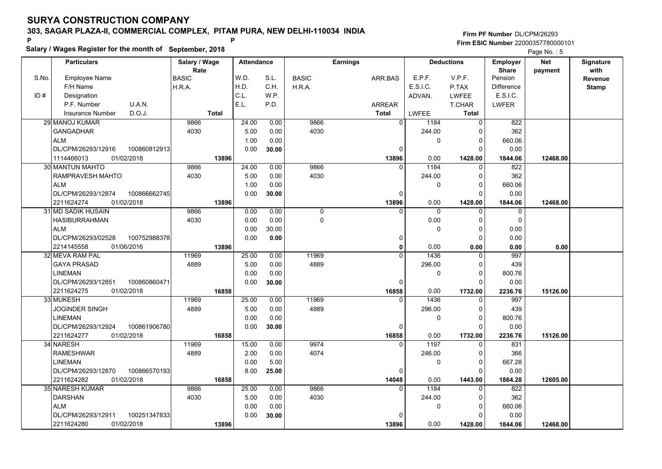**Salary / Wages Register for the month of September, 2018 <sup>P</sup> <sup>P</sup>**

### **Firm PF Number**DL/CPM/26293**Firm ESIC Number** 22000357780000101

|       | <b>Particulars</b>                 | Salary / Wage        | <b>Attendance</b> |       |              | <b>Earnings</b> |                  | <b>Deductions</b> | <b>Employer</b>         | <b>Net</b> | Signature       |
|-------|------------------------------------|----------------------|-------------------|-------|--------------|-----------------|------------------|-------------------|-------------------------|------------|-----------------|
| S.No. | Employee Name                      | Rate<br><b>BASIC</b> | W.D.              | S.L.  | <b>BASIC</b> | ARR.BAS         | E.P.F.           | V.P.F.            | <b>Share</b><br>Pension | payment    | with<br>Revenue |
|       | F/H Name                           | H.R.A.               | H.D.              | C.H.  | H.R.A.       |                 | E.S.I.C.         | P.TAX             | <b>Difference</b>       |            | <b>Stamp</b>    |
| ID#   | Designation                        |                      | C.L.              | W.P.  |              |                 | ADVAN.           | LWFEE             | E.S.I.C.                |            |                 |
|       | U.A.N.<br>P.F. Number              |                      | E.L.              | P.D.  |              | <b>ARREAR</b>   |                  | <b>T.CHAR</b>     | <b>LWFER</b>            |            |                 |
|       | D.O.J.<br><b>Insurance Number</b>  | <b>Total</b>         |                   |       |              | <b>Total</b>    | <b>LWFEE</b>     | <b>Total</b>      |                         |            |                 |
|       | 29 MANOJ KUMAR                     | 9866                 | 24.00             | 0.00  | 9866         |                 | 0 l<br>1184      | $\mathbf 0$       | 822                     |            |                 |
|       | <b>GANGADHAR</b>                   | 4030                 | 5.00              | 0.00  | 4030         |                 | 244.00           | 0                 | 362                     |            |                 |
|       | <b>ALM</b>                         |                      | 1.00              | 0.00  |              |                 | 0                | $\mathbf 0$       | 660.06                  |            |                 |
|       | DL/CPM/26293/12916<br>100860812913 |                      | 0.00              | 30.00 |              |                 | 0                | $\Omega$          | 0.00                    |            |                 |
|       | 1114466013<br>01/02/2018           | 13896                |                   |       |              | 13896           | 0.00             | 1428.00           | 1844.06                 | 12468.00   |                 |
|       | 30 MANTUN MAHTO                    | 9866                 | 24.00             | 0.00  | 9866         |                 | 1184<br>$\Omega$ | $\mathbf 0$       | 822                     |            |                 |
|       | RAMPRAVESH MAHTO                   | 4030                 | 5.00              | 0.00  | 4030         |                 | 244.00           | 0                 | 362                     |            |                 |
|       | <b>ALM</b>                         |                      | 1.00              | 0.00  |              |                 | 0                | $\Omega$          | 660.06                  |            |                 |
|       | DL/CPM/26293/12874<br>100866662745 |                      | 0.00              | 30.00 |              |                 | $\Omega$         | $\Omega$          | 0.00                    |            |                 |
|       | 01/02/2018<br>2211624274           | 13896                |                   |       |              | 13896           | 0.00             | 1428.00           | 1844.06                 | 12468.00   |                 |
|       | 31 MD SADIK HUSAIN                 | 9866                 | 0.00              | 0.00  | 0            |                 | $\Omega$<br>0    | $\mathbf 0$       | 0                       |            |                 |
|       | <b>HASIBURRAHMAN</b>               | 4030                 | 0.00              | 0.00  | 0            |                 | 0.00             | $\mathbf 0$       | $\Omega$                |            |                 |
|       | <b>ALM</b>                         |                      | 0.00              | 30.00 |              |                 | 0                | $\mathbf 0$       | 0.00                    |            |                 |
|       | DL/CPM/26293/02528<br>100752988378 |                      | 0.00              | 0.00  |              |                 | 0                | $\Omega$          | 0.00                    |            |                 |
|       | 2214145558<br>01/06/2016           | 13896                |                   |       |              |                 | 0<br>0.00        | 0.00              | 0.00                    | 0.00       |                 |
|       | 32 MEVA RAM PAL                    | 11969                | 25.00             | 0.00  | 11969        |                 | 1436<br>$\Omega$ | $\mathbf 0$       | 997                     |            |                 |
|       | <b>GAYA PRASAD</b>                 | 4889                 | 5.00              | 0.00  | 4889         |                 | 296.00           | $\mathbf 0$       | 439                     |            |                 |
|       | <b>LINEMAN</b>                     |                      | 0.00              | 0.00  |              |                 | 0                | $\mathbf 0$       | 800.76                  |            |                 |
|       | DL/CPM/26293/12851<br>100860860471 |                      | 0.00              | 30.00 |              |                 | $\Omega$         | 0                 | 0.00                    |            |                 |
|       | 2211624275<br>01/02/2018           | 16858                |                   |       |              | 16858           | 0.00             | 1732.00           | 2236.76                 | 15126.00   |                 |
|       | 33 MUKESH                          | 11969                | 25.00             | 0.00  | 11969        |                 | 1436<br>$\Omega$ | $\Omega$          | 997                     |            |                 |
|       | <b>JOGINDER SINGH</b>              | 4889                 | 5.00              | 0.00  | 4889         |                 | 296.00           | $\Omega$          | 439                     |            |                 |
|       | LINEMAN                            |                      | 0.00              | 0.00  |              |                 | 0                | 0                 | 800.76                  |            |                 |
|       | DL/CPM/26293/12924<br>100861906780 |                      | 0.00              | 30.00 |              |                 | $\Omega$         | $\Omega$          | 0.00                    |            |                 |
|       | 01/02/2018<br>2211624277           | 16858                |                   |       |              | 16858           | 0.00             | 1732.00           | 2236.76                 | 15126.00   |                 |
|       | 34 NARESH                          | 11969                | 15.00             | 0.00  | 9974         |                 | 1197<br>$\Omega$ | $\mathbf 0$       | 831                     |            |                 |
|       | <b>RAMESHWAR</b>                   | 4889                 | 2.00              | 0.00  | 4074         |                 | 246.00           | 0                 | 366                     |            |                 |
|       | <b>LINEMAN</b>                     |                      | 0.00              | 5.00  |              |                 | 0                | $\mathbf 0$       | 667.28                  |            |                 |
|       | 100866570193<br>DL/CPM/26293/12870 |                      | 8.00              | 25.00 |              |                 | $\Omega$         | $\Omega$          | 0.00                    |            |                 |
|       | 2211624282<br>01/02/2018           | 16858                |                   |       |              | 14048           | 0.00             | 1443.00           | 1864.28                 | 12605.00   |                 |
|       | 35 NARESH KUMAR                    | 9866                 | 25.00             | 0.00  | 9866         |                 | 1184<br>0        | $\Omega$          | 822                     |            |                 |
|       | <b>DARSHAN</b>                     | 4030                 | 5.00              | 0.00  | 4030         |                 | 244.00           | $\mathbf 0$       | 362                     |            |                 |
|       | <b>ALM</b>                         |                      | 0.00              | 0.00  |              |                 | 0                | $\mathbf 0$       | 660.06                  |            |                 |
|       | DL/CPM/26293/12911<br>100251347833 |                      | 0.00              | 30.00 |              |                 | O                | $\Omega$          | 0.00                    |            |                 |
|       | 2211624280<br>01/02/2018           | 13896                |                   |       |              | 13896           | 0.00             | 1428.00           | 1844.06                 | 12468.00   |                 |
|       |                                    |                      |                   |       |              |                 |                  |                   |                         |            |                 |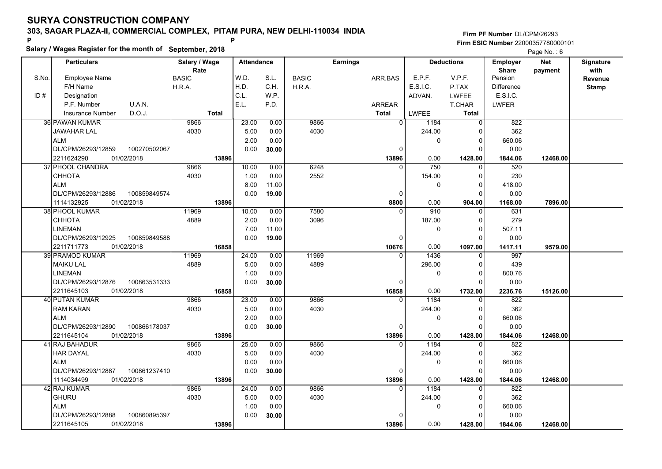**Salary / Wages Register for the month of September, 2018 <sup>P</sup> <sup>P</sup>**

### **Firm PF Number**DL/CPM/26293**Firm ESIC Number** 22000357780000101

|       | <b>Particulars</b>                 | Salary / Wage        | <b>Attendance</b> |       |              | <b>Earnings</b> |                |              | <b>Deductions</b> | <b>Employer</b>         | <b>Net</b> | Signature       |
|-------|------------------------------------|----------------------|-------------------|-------|--------------|-----------------|----------------|--------------|-------------------|-------------------------|------------|-----------------|
| S.No. | Employee Name                      | Rate<br><b>BASIC</b> | W.D.              | S.L.  | <b>BASIC</b> | ARR.BAS         |                | E.P.F.       | V.P.F.            | <b>Share</b><br>Pension | payment    | with<br>Revenue |
|       | F/H Name                           | H.R.A.               | H.D.              | C.H.  | H.R.A.       |                 |                | E.S.I.C.     | P.TAX             | <b>Difference</b>       |            | <b>Stamp</b>    |
| ID#   | Designation                        |                      | C.L.              | W.P.  |              |                 |                | ADVAN.       | <b>LWFEE</b>      | E.S.I.C.                |            |                 |
|       | U.A.N.<br>P.F. Number              |                      | E.L.              | P.D.  |              | ARREAR          |                |              | <b>T.CHAR</b>     | <b>LWFER</b>            |            |                 |
|       | D.O.J.<br><b>Insurance Number</b>  | <b>Total</b>         |                   |       |              | <b>Total</b>    |                | <b>LWFEE</b> | Total             |                         |            |                 |
|       | 36 PAWAN KUMAR                     | 9866                 | 23.00             | 0.00  | 9866         |                 | $\overline{0}$ | 1184         | $\mathbf 0$       | 822                     |            |                 |
|       | <b>JAWAHAR LAL</b>                 | 4030                 | 5.00              | 0.00  | 4030         |                 |                | 244.00       | $\Omega$          | 362                     |            |                 |
|       | <b>ALM</b>                         |                      | 2.00              | 0.00  |              |                 |                | 0            | $\mathbf 0$       | 660.06                  |            |                 |
|       | DL/CPM/26293/12859<br>100270502067 |                      | 0.00              | 30.00 |              |                 | $\Omega$       |              | $\Omega$          | 0.00                    |            |                 |
|       | 2211624290<br>01/02/2018           | 13896                |                   |       |              |                 | 13896          | 0.00         | 1428.00           | 1844.06                 | 12468.00   |                 |
|       | 37 PHOOL CHANDRA                   | 9866                 | 10.00             | 0.00  | 6248         |                 | $\Omega$       | 750          | $\Omega$          | 520                     |            |                 |
|       | СННОТА                             | 4030                 | 1.00              | 0.00  | 2552         |                 |                | 154.00       | $\mathbf 0$       | 230                     |            |                 |
|       | <b>ALM</b>                         |                      | 8.00              | 11.00 |              |                 |                | 0            | $\Omega$          | 418.00                  |            |                 |
|       | DL/CPM/26293/12886<br>100859849574 |                      | 0.00              | 19.00 |              |                 | $\mathbf 0$    |              | $\Omega$          | 0.00                    |            |                 |
|       | 1114132925<br>01/02/2018           | 13896                |                   |       |              |                 | 8800           | 0.00         | 904.00            | 1168.00                 | 7896.00    |                 |
|       | 38 PHOOL KUMAR                     | 11969                | 10.00             | 0.00  | 7580         |                 | $\Omega$       | 910          | 0                 | 631                     |            |                 |
|       | CHHOTA                             | 4889                 | 2.00              | 0.00  | 3096         |                 |                | 187.00       | $\Omega$          | 279                     |            |                 |
|       | <b>LINEMAN</b>                     |                      | 7.00              | 11.00 |              |                 |                | 0            | $\mathbf 0$       | 507.11                  |            |                 |
|       | DL/CPM/26293/12925<br>100859849588 |                      | 0.00              | 19.00 |              |                 | $\mathbf 0$    |              | $\Omega$          | 0.00                    |            |                 |
|       | 2211711773<br>01/02/2018           | 16858                |                   |       |              |                 | 10676          | 0.00         | 1097.00           | 1417.11                 | 9579.00    |                 |
|       | 39 PRAMOD KUMAR                    | 11969                | 24.00             | 0.00  | 11969        |                 | $\Omega$       | 1436         | $\Omega$          | 997                     |            |                 |
|       | <b>MAIKU LAL</b>                   | 4889                 | 5.00              | 0.00  | 4889         |                 |                | 296.00       | $\Omega$          | 439                     |            |                 |
|       | <b>LINEMAN</b>                     |                      | 1.00              | 0.00  |              |                 |                | 0            | $\mathbf 0$       | 800.76                  |            |                 |
|       | DL/CPM/26293/12876<br>100863531333 |                      | 0.00              | 30.00 |              |                 | $\mathbf 0$    |              | $\Omega$          | 0.00                    |            |                 |
|       | 01/02/2018<br>2211645103           | 16858                |                   |       |              |                 | 16858          | 0.00         | 1732.00           | 2236.76                 | 15126.00   |                 |
|       | 40 PUTAN KUMAR                     | 9866                 | 23.00             | 0.00  | 9866         |                 | $\Omega$       | 1184         | $\Omega$          | 822                     |            |                 |
|       | <b>RAM KARAN</b>                   | 4030                 | 5.00              | 0.00  | 4030         |                 |                | 244.00       | $\Omega$          | 362                     |            |                 |
|       | <b>ALM</b>                         |                      | 2.00              | 0.00  |              |                 |                | 0            | $\pmb{0}$         | 660.06                  |            |                 |
|       | DL/CPM/26293/12890<br>100866178037 |                      | 0.00              | 30.00 |              |                 | 0              |              | $\Omega$          | 0.00                    |            |                 |
|       | 01/02/2018<br>2211645104           | 13896                |                   |       |              |                 | 13896          | 0.00         | 1428.00           | 1844.06                 | 12468.00   |                 |
|       | 41 RAJ BAHADUR                     | 9866                 | 25.00             | 0.00  | 9866         |                 | $\Omega$       | 1184         | 0                 | 822                     |            |                 |
|       | <b>HAR DAYAL</b>                   | 4030                 | 5.00              | 0.00  | 4030         |                 |                | 244.00       | $\Omega$          | 362                     |            |                 |
|       | <b>ALM</b>                         |                      | 0.00              | 0.00  |              |                 |                | 0            | $\mathbf 0$       | 660.06                  |            |                 |
|       | DL/CPM/26293/12887<br>100861237410 |                      | 0.00              | 30.00 |              |                 | $\mathbf 0$    |              | $\Omega$          | 0.00                    |            |                 |
|       | 1114034499<br>01/02/2018           | 13896                |                   |       |              |                 | 13896          | 0.00         | 1428.00           | 1844.06                 | 12468.00   |                 |
|       | 42 RAJ KUMAR                       | 9866                 | 24.00             | 0.00  | 9866         |                 | $\Omega$       | 1184         | $\mathbf{0}$      | 822                     |            |                 |
|       | <b>GHURU</b>                       | 4030                 | 5.00              | 0.00  | 4030         |                 |                | 244.00       | $\Omega$          | 362                     |            |                 |
|       | <b>ALM</b>                         |                      | 1.00              | 0.00  |              |                 |                | 0            | $\mathbf 0$       | 660.06                  |            |                 |
|       | DL/CPM/26293/12888<br>100860895397 |                      | 0.00              | 30.00 |              |                 | $\Omega$       |              | $\Omega$          | 0.00                    |            |                 |
|       | 2211645105<br>01/02/2018           | 13896                |                   |       |              |                 | 13896          | 0.00         | 1428.00           | 1844.06                 | 12468.00   |                 |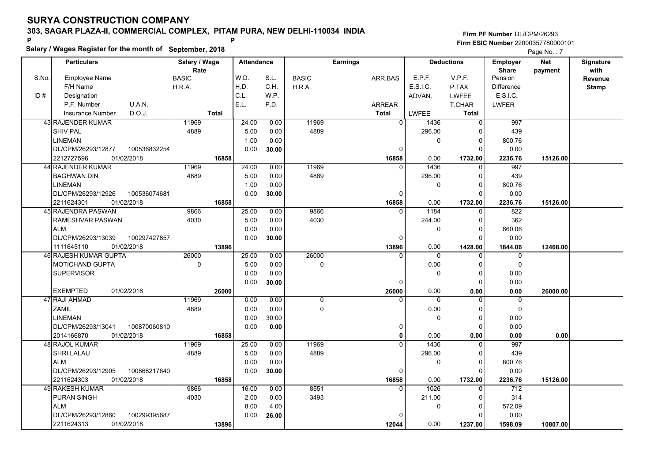**Salary / Wages Register for the month of September, 2018 <sup>P</sup> <sup>P</sup>**

### **Firm PF Number**DL/CPM/26293**Firm ESIC Number** 22000357780000101

|       | <b>Particulars</b>                 | Salary / Wage        | <b>Attendance</b> |       |              | <b>Earnings</b> |          | <b>Deductions</b> | Employer                | <b>Net</b> | Signature       |
|-------|------------------------------------|----------------------|-------------------|-------|--------------|-----------------|----------|-------------------|-------------------------|------------|-----------------|
| S.No. | Employee Name                      | Rate<br><b>BASIC</b> | W.D.              | S.L.  | <b>BASIC</b> | ARR BAS         | E.P.F.   | V.P.F.            | <b>Share</b><br>Pension | payment    | with<br>Revenue |
|       | F/H Name                           | H.R.A.               | H.D.              | C.H.  | H.R.A.       |                 | E.S.I.C. | P.TAX             | <b>Difference</b>       |            | <b>Stamp</b>    |
| ID#   | Designation                        |                      | C.L.              | W.P.  |              |                 | ADVAN.   | <b>LWFEE</b>      | E.S.I.C.                |            |                 |
|       | U.A.N.<br>P.F. Number              |                      | E.L.              | P.D.  |              | ARREAR          |          | T.CHAR            | <b>LWFER</b>            |            |                 |
|       | D.O.J.<br><b>Insurance Number</b>  | <b>Total</b>         |                   |       |              | <b>Total</b>    | LWFEE    | Total             |                         |            |                 |
|       | 43 RAJENDER KUMAR                  | 11969                | 24.00             | 0.00  | 11969        | $\overline{0}$  | 1436     | 0                 | 997                     |            |                 |
|       | SHIV PAL                           | 4889                 | 5.00              | 0.00  | 4889         |                 | 296.00   | 0                 | 439                     |            |                 |
|       | <b>LINEMAN</b>                     |                      | 1.00              | 0.00  |              |                 | 0        | $\mathbf 0$       | 800.76                  |            |                 |
|       | DL/CPM/26293/12877<br>100536832254 |                      | 0.00              | 30.00 |              | 0               |          | $\Omega$          | 0.00                    |            |                 |
|       | 2212727596<br>01/02/2018           | 16858                |                   |       |              | 16858           | 0.00     | 1732.00           | 2236.76                 | 15126.00   |                 |
|       | 44 RAJENDER KUMAR                  | 11969                | 24.00             | 0.00  | 11969        | $\Omega$        | 1436     | $\Omega$          | 997                     |            |                 |
|       | <b>BAGHWAN DIN</b>                 | 4889                 | 5.00              | 0.00  | 4889         |                 | 296.00   | 0                 | 439                     |            |                 |
|       | <b>LINEMAN</b>                     |                      | 1.00              | 0.00  |              |                 | 0        | $\mathbf 0$       | 800.76                  |            |                 |
|       | DL/CPM/26293/12926<br>100536074681 |                      | 0.00              | 30.00 |              | 0               |          | $\mathbf 0$       | 0.00                    |            |                 |
|       | 2211624301<br>01/02/2018           | 16858                |                   |       |              | 16858           | 0.00     | 1732.00           | 2236.76                 | 15126.00   |                 |
|       | 45 RAJENDRA PASWAN                 | 9866                 | 25.00             | 0.00  | 9866         | $\Omega$        | 1184     | $\mathbf 0$       | 822                     |            |                 |
|       | RAMESHVAR PASWAN                   | 4030                 | 5.00              | 0.00  | 4030         |                 | 244.00   | $\mathbf 0$       | 362                     |            |                 |
|       | <b>ALM</b>                         |                      | 0.00              | 0.00  |              |                 | 0        | $\mathbf 0$       | 660.06                  |            |                 |
|       | DL/CPM/26293/13039<br>100297427857 |                      | 0.00              | 30.00 |              | $\Omega$        |          | $\Omega$          | 0.00                    |            |                 |
|       | 01/02/2018<br>1111645110           | 13896                |                   |       |              | 13896           | 0.00     | 1428.00           | 1844.06                 | 12468.00   |                 |
|       | 46 RAJESH KUMAR GUPTA              | 26000                | 25.00             | 0.00  | 26000        |                 | 0        | 0                 | 0                       |            |                 |
|       | <b>MOTICHAND GUPTA</b>             | 0                    | 5.00              | 0.00  | 0            |                 | 0.00     | $\mathbf 0$       | $\mathbf 0$             |            |                 |
|       | <b>SUPERVISOR</b>                  |                      | 0.00              | 0.00  |              |                 | 0        | 0                 | 0.00                    |            |                 |
|       |                                    |                      | 0.00              | 30.00 |              | $\Omega$        |          | $\mathbf 0$       | 0.00                    |            |                 |
|       | <b>EXEMPTED</b><br>01/02/2018      | 26000                |                   |       |              | 26000           | 0.00     | 0.00              | 0.00                    | 26000.00   |                 |
|       | 47 RAJI AHMAD                      | 11969                | 0.00              | 0.00  | 0            | U               | $\Omega$ | $\mathbf 0$       | 0                       |            |                 |
|       | <b>ZAMIL</b>                       | 4889                 | 0.00              | 0.00  | 0            |                 | 0.00     | 0                 | $\mathbf 0$             |            |                 |
|       | <b>LINEMAN</b>                     |                      | 0.00              | 30.00 |              |                 | 0        | $\mathbf 0$       | 0.00                    |            |                 |
|       | DL/CPM/26293/13041<br>100870060810 |                      | 0.00              | 0.00  |              | 0               |          | $\mathbf 0$       | 0.00                    |            |                 |
|       | 2014166870<br>01/02/2018           | 16858                |                   |       |              | $\mathbf{0}$    | 0.00     | 0.00              | 0.00                    | 0.00       |                 |
|       | 48 RAJOL KUMAR                     | 11969                | 25.00             | 0.00  | 11969        | $\Omega$        | 1436     | $\mathbf 0$       | 997                     |            |                 |
|       | SHRI LALAU                         | 4889                 | 5.00              | 0.00  | 4889         |                 | 296.00   | $\mathbf 0$       | 439                     |            |                 |
|       | <b>ALM</b>                         |                      | 0.00              | 0.00  |              |                 | 0        | $\mathbf 0$       | 800.76                  |            |                 |
|       | DL/CPM/26293/12905<br>100868217640 |                      | 0.00              | 30.00 |              | 0               |          | $\Omega$          | 0.00                    |            |                 |
|       | 01/02/2018<br>2211624303           | 16858                |                   |       |              | 16858           | 0.00     | 1732.00           | 2236.76                 | 15126.00   |                 |
|       | <b>49 RAKESH KUMAR</b>             | 9866                 | 16.00             | 0.00  | 8551         | $\Omega$        | 1026     | $\Omega$          | 712                     |            |                 |
|       | <b>PURAN SINGH</b>                 | 4030                 | 2.00              | 0.00  | 3493         |                 | 211.00   | 0                 | 314                     |            |                 |
|       | <b>ALM</b>                         |                      | 8.00              | 4.00  |              |                 | 0        | 0                 | 572.09                  |            |                 |
|       | DL/CPM/26293/12860<br>100299395687 |                      | 0.00              | 26.00 |              |                 |          | $\Omega$          | 0.00                    |            |                 |
|       | 01/02/2018<br>2211624313           | 13896                |                   |       |              | 12044           | 0.00     | 1237.00           | 1598.09                 | 10807.00   |                 |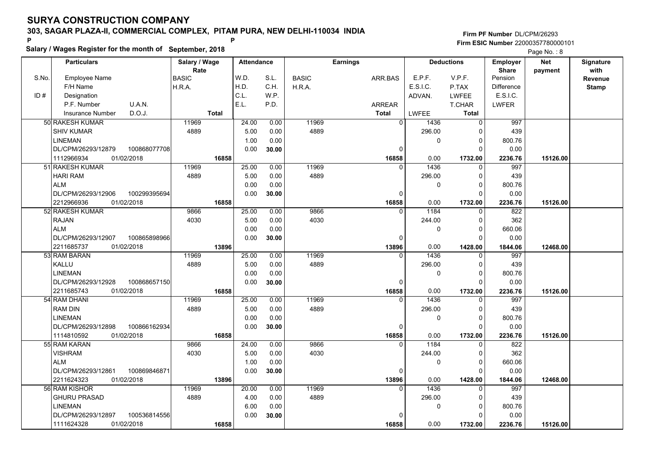**Salary / Wages Register for the month of September, 2018 <sup>P</sup> <sup>P</sup>**

### **Firm PF Number**DL/CPM/26293**Firm ESIC Number** 22000357780000101

|       | <b>Particulars</b>       |              | Salary / Wage |              | <b>Attendance</b> |       |              | <b>Earnings</b> |                |              | <b>Deductions</b> | <b>Employer</b>         | <b>Net</b> | Signature       |
|-------|--------------------------|--------------|---------------|--------------|-------------------|-------|--------------|-----------------|----------------|--------------|-------------------|-------------------------|------------|-----------------|
| S.No. | Employee Name            |              | Rate<br>BASIC |              | W.D.              | S.L.  | <b>BASIC</b> |                 | ARR.BAS        | E.P.F.       | V.P.F.            | <b>Share</b><br>Pension | payment    | with<br>Revenue |
|       | F/H Name                 |              | H.R.A.        |              | H.D.              | C.H.  | H.R.A.       |                 |                | E.S.I.C.     | P.TAX             | <b>Difference</b>       |            | <b>Stamp</b>    |
| ID#   | Designation              |              |               |              | C.L.              | W.P.  |              |                 |                | ADVAN.       | <b>LWFEE</b>      | E.S.I.C.                |            |                 |
|       | P.F. Number              | U.A.N.       |               |              | E.L.              | P.D.  |              |                 | <b>ARREAR</b>  |              | T.CHAR            | <b>LWFER</b>            |            |                 |
|       | <b>Insurance Number</b>  | D.O.J.       |               | <b>Total</b> |                   |       |              |                 | <b>Total</b>   | <b>LWFEE</b> | Total             |                         |            |                 |
|       | 50 RAKESH KUMAR          |              | 11969         |              | 24.00             | 0.00  | 11969        |                 | $\overline{0}$ | 1436         | $\mathbf 0$       | 997                     |            |                 |
|       | <b>SHIV KUMAR</b>        |              | 4889          |              | 5.00              | 0.00  | 4889         |                 |                | 296.00       | 0                 | 439                     |            |                 |
|       | <b>LINEMAN</b>           |              |               |              | 1.00              | 0.00  |              |                 |                | 0            | $\mathbf 0$       | 800.76                  |            |                 |
|       | DL/CPM/26293/12879       | 100868077708 |               |              | 0.00              | 30.00 |              |                 | $\Omega$       |              | $\Omega$          | 0.00                    |            |                 |
|       | 1112966934<br>01/02/2018 |              |               | 16858        |                   |       |              |                 | 16858          | 0.00         | 1732.00           | 2236.76                 | 15126.00   |                 |
|       | 51 RAKESH KUMAR          |              | 11969         |              | 25.00             | 0.00  | 11969        |                 | $\Omega$       | 1436         | $\mathbf 0$       | 997                     |            |                 |
|       | <b>HARI RAM</b>          |              | 4889          |              | 5.00              | 0.00  | 4889         |                 |                | 296.00       | 0                 | 439                     |            |                 |
|       | <b>ALM</b>               |              |               |              | 0.00              | 0.00  |              |                 |                | 0            | $\mathbf 0$       | 800.76                  |            |                 |
|       | DL/CPM/26293/12906       | 100299395694 |               |              | 0.00              | 30.00 |              |                 | 0              |              | $\mathbf 0$       | 0.00                    |            |                 |
|       | 2212966936<br>01/02/2018 |              |               | 16858        |                   |       |              |                 | 16858          | 0.00         | 1732.00           | 2236.76                 | 15126.00   |                 |
|       | 52 RAKESH KUMAR          |              | 9866          |              | 25.00             | 0.00  | 9866         |                 | 0              | 1184         | 0                 | 822                     |            |                 |
|       | <b>RAJAN</b>             |              | 4030          |              | 5.00              | 0.00  | 4030         |                 |                | 244.00       | $\mathbf 0$       | 362                     |            |                 |
|       | <b>ALM</b>               |              |               |              | 0.00              | 0.00  |              |                 |                | 0            | $\mathbf 0$       | 660.06                  |            |                 |
|       | DL/CPM/26293/12907       | 100865898966 |               |              | 0.00              | 30.00 |              |                 | $\Omega$       |              | $\Omega$          | 0.00                    |            |                 |
|       | 2211685737<br>01/02/2018 |              |               | 13896        |                   |       |              |                 | 13896          | 0.00         | 1428.00           | 1844.06                 | 12468.00   |                 |
|       | 53 RAM BARAN             |              | 11969         |              | 25.00             | 0.00  | 11969        |                 | $\Omega$       | 1436         | $\mathbf 0$       | 997                     |            |                 |
|       | <b>KALLU</b>             |              | 4889          |              | 5.00              | 0.00  | 4889         |                 |                | 296.00       | $\mathbf 0$       | 439                     |            |                 |
|       | <b>LINEMAN</b>           |              |               |              | 0.00              | 0.00  |              |                 |                | 0            | $\mathbf 0$       | 800.76                  |            |                 |
|       | DL/CPM/26293/12928       | 100868657150 |               |              | 0.00              | 30.00 |              |                 | 0              |              | $\mathbf 0$       | 0.00                    |            |                 |
|       | 2211685743<br>01/02/2018 |              |               | 16858        |                   |       |              |                 | 16858          | 0.00         | 1732.00           | 2236.76                 | 15126.00   |                 |
|       | 54 RAM DHANI             |              | 11969         |              | 25.00             | 0.00  | 11969        |                 | $\Omega$       | 1436         | $\Omega$          | 997                     |            |                 |
|       | <b>RAM DIN</b>           |              | 4889          |              | 5.00              | 0.00  | 4889         |                 |                | 296.00       | $\Omega$          | 439                     |            |                 |
|       | <b>LINEMAN</b>           |              |               |              | 0.00              | 0.00  |              |                 |                | 0            | $\mathbf 0$       | 800.76                  |            |                 |
|       | DL/CPM/26293/12898       | 100866162934 |               |              | 0.00              | 30.00 |              |                 | 0              |              | $\Omega$          | 0.00                    |            |                 |
|       | 01/02/2018<br>1114810592 |              |               | 16858        |                   |       |              |                 | 16858          | 0.00         | 1732.00           | 2236.76                 | 15126.00   |                 |
|       | 55 RAM KARAN             |              | 9866          |              | 24.00             | 0.00  | 9866         |                 | $\Omega$       | 1184         | $\mathbf 0$       | 822                     |            |                 |
|       | <b>VISHRAM</b>           |              | 4030          |              | 5.00              | 0.00  | 4030         |                 |                | 244.00       | 0                 | 362                     |            |                 |
|       | <b>ALM</b>               |              |               |              | 1.00              | 0.00  |              |                 |                | 0            | $\mathbf 0$       | 660.06                  |            |                 |
|       | DL/CPM/26293/12861       | 100869846871 |               |              | 0.00              | 30.00 |              |                 | 0              |              | $\Omega$          | 0.00                    |            |                 |
|       | 2211624323<br>01/02/2018 |              |               | 13896        |                   |       |              |                 | 13896          | 0.00         | 1428.00           | 1844.06                 | 12468.00   |                 |
|       | 56 RAM KISHOR            |              | 11969         |              | 20.00             | 0.00  | 11969        |                 | $\Omega$       | 1436         | $\Omega$          | 997                     |            |                 |
|       | <b>GHURU PRASAD</b>      |              | 4889          |              | 4.00              | 0.00  | 4889         |                 |                | 296.00       | $\mathbf 0$       | 439                     |            |                 |
|       | <b>LINEMAN</b>           |              |               |              | 6.00              | 0.00  |              |                 |                | 0            | $\mathbf 0$       | 800.76                  |            |                 |
|       | DL/CPM/26293/12897       | 100536814556 |               |              | 0.00              | 30.00 |              |                 | $\Omega$       |              | $\mathbf 0$       | 0.00                    |            |                 |
|       | 01/02/2018<br>1111624328 |              |               | 16858        |                   |       |              |                 | 16858          | 0.00         | 1732.00           | 2236.76                 | 15126.00   |                 |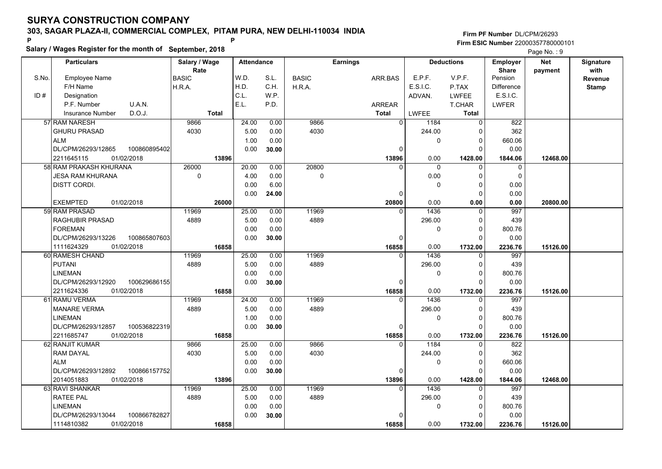**Salary / Wages Register for the month of September, 2018 <sup>P</sup> <sup>P</sup>**

### **Firm PF Number**DL/CPM/26293**Firm ESIC Number** 22000357780000101

|       | <b>Particulars</b>                 | Salary / Wage        | <b>Attendance</b> |       |              | <b>Earnings</b> |                        | <b>Deductions</b> | Employer                | <b>Net</b> | Signature<br>with |
|-------|------------------------------------|----------------------|-------------------|-------|--------------|-----------------|------------------------|-------------------|-------------------------|------------|-------------------|
| S.No. | Employee Name                      | Rate<br><b>BASIC</b> | W.D.              | S.L.  | <b>BASIC</b> | ARR.BAS         | E.P.F.                 | V.P.F.            | <b>Share</b><br>Pension | payment    | <b>Revenue</b>    |
|       | F/H Name                           | H.R.A.               | H.D.              | C.H.  | H.R.A.       |                 | E.S.I.C.               | P.TAX             | <b>Difference</b>       |            | <b>Stamp</b>      |
| ID#   | Designation                        |                      | C.L.              | W.P.  |              |                 | ADVAN.                 | <b>LWFEE</b>      | E.S.I.C.                |            |                   |
|       | U.A.N.<br>P.F. Number              |                      | E.L.              | P.D.  |              | <b>ARREAR</b>   |                        | T.CHAR            | <b>LWFER</b>            |            |                   |
|       | D.O.J.<br>Insurance Number         | <b>Total</b>         |                   |       |              | Total           | <b>LWFEE</b>           | <b>Total</b>      |                         |            |                   |
|       | 57 RAM NARESH                      | 9866                 | 24.00             | 0.00  | 9866         |                 | $\overline{0}$<br>1184 | 0                 | 822                     |            |                   |
|       | <b>GHURU PRASAD</b>                | 4030                 | 5.00              | 0.00  | 4030         |                 | 244.00                 | $\mathbf 0$       | 362                     |            |                   |
|       | <b>ALM</b>                         |                      | 1.00              | 0.00  |              |                 | $\Omega$               | $\mathbf 0$       | 660.06                  |            |                   |
|       | DL/CPM/26293/12865<br>100860895402 |                      | 0.00              | 30.00 |              | 0               |                        | $\Omega$          | 0.00                    |            |                   |
|       | 01/02/2018<br>2211645115           | 13896                |                   |       |              | 13896           | 0.00                   | 1428.00           | 1844.06                 | 12468.00   |                   |
|       | 58 RAM PRAKASH KHURANA             | 26000                | 20.00             | 0.00  | 20800        | U               | $\mathbf{0}$           | $\mathbf 0$       | $\mathbf 0$             |            |                   |
|       | <b>JESA RAM KHURANA</b>            | $\mathbf 0$          | 4.00              | 0.00  | $\mathbf 0$  |                 | 0.00                   | $\mathbf 0$       | $\mathbf 0$             |            |                   |
|       | DISTT CORDI.                       |                      | 0.00              | 6.00  |              |                 | 0                      | $\mathbf 0$       | 0.00                    |            |                   |
|       |                                    |                      | 0.00              | 24.00 |              | 0               |                        | $\mathbf 0$       | 0.00                    |            |                   |
|       | 01/02/2018<br><b>EXEMPTED</b>      | 26000                |                   |       |              | 20800           | 0.00                   | 0.00              | 0.00                    | 20800.00   |                   |
|       | 59 RAM PRASAD                      | 11969                | 25.00             | 0.00  | 11969        | $\Omega$        | 1436                   | 0                 | 997                     |            |                   |
|       | RAGHUBIR PRASAD                    | 4889                 | 5.00              | 0.00  | 4889         |                 | 296.00                 | $\mathbf 0$       | 439                     |            |                   |
|       | <b>FOREMAN</b>                     |                      | 0.00              | 0.00  |              |                 | 0                      | $\mathbf 0$       | 800.76                  |            |                   |
|       | DL/CPM/26293/13226<br>100865807603 |                      | 0.00              | 30.00 |              | $\Omega$        |                        | $\Omega$          | 0.00                    |            |                   |
|       | 1111624329<br>01/02/2018           | 16858                |                   |       |              | 16858           | 0.00                   | 1732.00           | 2236.76                 | 15126.00   |                   |
|       | 60 RAMESH CHAND                    | 11969                | 25.00             | 0.00  | 11969        | $\Omega$        | 1436                   | $\mathbf 0$       | 997                     |            |                   |
|       | <b>PUTANI</b>                      | 4889                 | 5.00              | 0.00  | 4889         |                 | 296.00                 | $\mathbf 0$       | 439                     |            |                   |
|       | <b>LINEMAN</b>                     |                      | 0.00              | 0.00  |              |                 | $\Omega$               | $\Omega$          | 800.76                  |            |                   |
|       | DL/CPM/26293/12920<br>100629686155 |                      | 0.00              | 30.00 |              | $\Omega$        |                        | $\Omega$          | 0.00                    |            |                   |
|       | 2211624336<br>01/02/2018           | 16858                |                   |       |              | 16858           | 0.00                   | 1732.00           | 2236.76                 | 15126.00   |                   |
|       | 61 RAMU VERMA                      | 11969                | 24.00             | 0.00  | 11969        | $\Omega$        | 1436                   | $\Omega$          | 997                     |            |                   |
|       | <b>MANARE VERMA</b>                | 4889                 | 5.00              | 0.00  | 4889         |                 | 296.00                 | 0                 | 439                     |            |                   |
|       | <b>LINEMAN</b>                     |                      | 1.00              | 0.00  |              |                 | 0                      | $\mathbf 0$       | 800.76                  |            |                   |
|       | DL/CPM/26293/12857<br>100536822319 |                      | 0.00              | 30.00 |              | 0               |                        | $\mathbf 0$       | 0.00                    |            |                   |
|       | 2211685747<br>01/02/2018           | 16858                |                   |       |              | 16858           | 0.00                   | 1732.00           | 2236.76                 | 15126.00   |                   |
|       | 62 RANJIT KUMAR                    | 9866                 | 25.00             | 0.00  | 9866         |                 | 1184<br>0              | $\mathbf 0$       | 822                     |            |                   |
|       | <b>RAM DAYAL</b>                   | 4030                 | 5.00              | 0.00  | 4030         |                 | 244.00                 | $\mathbf 0$       | 362                     |            |                   |
|       | <b>ALM</b>                         |                      | 0.00              | 0.00  |              |                 | 0                      | $\mathbf 0$       | 660.06                  |            |                   |
|       | DL/CPM/26293/12892<br>100866157752 |                      | 0.00              | 30.00 |              | 0               |                        | $\Omega$          | 0.00                    |            |                   |
|       | 2014051883<br>01/02/2018           | 13896                |                   |       |              | 13896           | 0.00                   | 1428.00           | 1844.06                 | 12468.00   |                   |
|       | 63 RAVI SHANKAR                    | 11969                | 25.00             | 0.00  | 11969        | $\Omega$        | 1436                   | $\Omega$          | 997                     |            |                   |
|       | <b>RATEE PAL</b>                   | 4889                 | 5.00              | 0.00  | 4889         |                 | 296.00                 | $\mathbf 0$       | 439                     |            |                   |
|       | <b>LINEMAN</b>                     |                      | 0.00              | 0.00  |              |                 | 0                      | $\mathbf 0$       | 800.76                  |            |                   |
|       | DL/CPM/26293/13044<br>100866782827 |                      | 0.00              | 30.00 |              | 0               |                        | $\Omega$          | 0.00                    |            |                   |
|       | 1114810382<br>01/02/2018           | 16858                |                   |       |              | 16858           | 0.00                   | 1732.00           | 2236.76                 | 15126.00   |                   |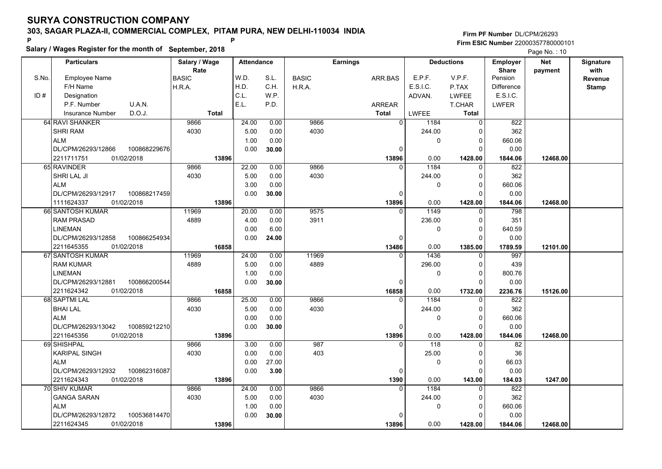**Salary / Wages Register for the month of September, 2018 <sup>P</sup> <sup>P</sup>**

### **Firm PF Number**DL/CPM/26293**Firm ESIC Number** 22000357780000101

|       | <b>Particulars</b>                 | Salary / Wage        | <b>Attendance</b> |       |              | Earnings      |              | <b>Deductions</b> | Employer                | <b>Net</b> | Signature<br>with |
|-------|------------------------------------|----------------------|-------------------|-------|--------------|---------------|--------------|-------------------|-------------------------|------------|-------------------|
| S.No. | Employee Name                      | Rate<br><b>BASIC</b> | W.D.              | S.L.  | <b>BASIC</b> | ARR.BAS       | E.P.F.       | V.P.F.            | <b>Share</b><br>Pension | payment    | <b>Revenue</b>    |
|       | F/H Name                           | H.R.A.               | H.D.              | C.H.  | H.R.A.       |               | E.S.I.C.     | P.TAX             | Difference              |            | <b>Stamp</b>      |
| ID#   | Designation                        |                      | C.L.              | W.P.  |              |               | ADVAN.       | <b>LWFEE</b>      | E.S.I.C.                |            |                   |
|       | U.A.N.<br>P.F. Number              |                      | E.L.              | P.D.  |              | <b>ARREAR</b> |              | T.CHAR            | <b>LWFER</b>            |            |                   |
|       | D.O.J.<br><b>Insurance Number</b>  | <b>Total</b>         |                   |       |              | <b>Total</b>  | <b>LWFEE</b> | <b>Total</b>      |                         |            |                   |
|       | 64 RAVI SHANKER                    | 9866                 | 24.00             | 0.00  | 9866         | $\Omega$      | 1184         | 0                 | 822                     |            |                   |
|       | <b>SHRI RAM</b>                    | 4030                 | 5.00              | 0.00  | 4030         |               | 244.00       | $\mathbf 0$       | 362                     |            |                   |
|       | <b>ALM</b>                         |                      | 1.00              | 0.00  |              |               | 0            | $\mathbf 0$       | 660.06                  |            |                   |
|       | DL/CPM/26293/12866<br>100868229676 |                      | 0.00              | 30.00 |              | $\Omega$      |              | $\Omega$          | 0.00                    |            |                   |
|       | 2211711751<br>01/02/2018           | 13896                |                   |       |              | 13896         | 0.00         | 1428.00           | 1844.06                 | 12468.00   |                   |
|       | 65 RAVINDER                        | 9866                 | 22.00             | 0.00  | 9866         | $\Omega$      | 1184         | $\mathbf 0$       | 822                     |            |                   |
|       | <b>SHRI LAL JI</b>                 | 4030                 | 5.00              | 0.00  | 4030         |               | 244.00       | $\mathbf 0$       | 362                     |            |                   |
|       | <b>ALM</b>                         |                      | 3.00              | 0.00  |              |               | 0            | $\mathbf 0$       | 660.06                  |            |                   |
|       | DL/CPM/26293/12917<br>100868217459 |                      | 0.00              | 30.00 |              | 0             |              | $\Omega$          | 0.00                    |            |                   |
|       | 01/02/2018<br>1111624337           | 13896                |                   |       |              | 13896         | 0.00         | 1428.00           | 1844.06                 | 12468.00   |                   |
|       | 66 SANTOSH KUMAR                   | 11969                | 20.00             | 0.00  | 9575         | $\Omega$      | 1149         | 0                 | 798                     |            |                   |
|       | <b>RAM PRASAD</b>                  | 4889                 | 4.00              | 0.00  | 3911         |               | 236.00       | $\mathbf 0$       | 351                     |            |                   |
|       | <b>LINEMAN</b>                     |                      | 0.00              | 6.00  |              |               | 0            | $\mathbf 0$       | 640.59                  |            |                   |
|       | DL/CPM/26293/12858<br>100866254934 |                      | 0.00              | 24.00 |              | $\Omega$      |              | $\Omega$          | 0.00                    |            |                   |
|       | 2211645355<br>01/02/2018           | 16858                |                   |       |              | 13486         | 0.00         | 1385.00           | 1789.59                 | 12101.00   |                   |
|       | 67 SANTOSH KUMAR                   | 11969                | 24.00             | 0.00  | 11969        | $\Omega$      | 1436         | $\mathbf 0$       | 997                     |            |                   |
|       | <b>RAM KUMAR</b>                   | 4889                 | 5.00              | 0.00  | 4889         |               | 296.00       | $\mathbf 0$       | 439                     |            |                   |
|       | <b>LINEMAN</b>                     |                      | 1.00              | 0.00  |              |               | $\Omega$     | $\mathbf 0$       | 800.76                  |            |                   |
|       | DL/CPM/26293/12881<br>100866200544 |                      | 0.00              | 30.00 |              | $\Omega$      |              | $\Omega$          | 0.00                    |            |                   |
|       | 2211624342<br>01/02/2018           | 16858                |                   |       |              | 16858         | 0.00         | 1732.00           | 2236.76                 | 15126.00   |                   |
|       | 68 SAPTMI LAL                      | 9866                 | 25.00             | 0.00  | 9866         | $\Omega$      | 1184         | $\Omega$          | 822                     |            |                   |
|       | <b>BHAI LAL</b>                    | 4030                 | 5.00              | 0.00  | 4030         |               | 244.00       | $\mathbf 0$       | 362                     |            |                   |
|       | <b>ALM</b>                         |                      | 0.00              | 0.00  |              |               | 0            | $\mathbf 0$       | 660.06                  |            |                   |
|       | DL/CPM/26293/13042<br>100859212210 |                      | 0.00              | 30.00 |              | 0             |              | $\mathbf 0$       | 0.00                    |            |                   |
|       | 2211645356<br>01/02/2018           | 13896                |                   |       |              | 13896         | 0.00         | 1428.00           | 1844.06                 | 12468.00   |                   |
|       | 69 SHISHPAL                        | 9866                 | 3.00              | 0.00  | 987          | $\Omega$      | 118          | $\Omega$          | 82                      |            |                   |
|       | <b>KARIPAL SINGH</b>               | 4030                 | 0.00              | 0.00  | 403          |               | 25.00        | $\mathbf 0$       | 36                      |            |                   |
|       | <b>ALM</b>                         |                      | 0.00              | 27.00 |              |               | 0            | 0                 | 66.03                   |            |                   |
|       | 100862316087<br>DL/CPM/26293/12932 |                      | 0.00              | 3.00  |              | $\Omega$      |              | $\Omega$          | 0.00                    |            |                   |
|       | 2211624343<br>01/02/2018           | 13896                |                   |       |              | 1390          | 0.00         | 143.00            | 184.03                  | 1247.00    |                   |
|       | 70 SHIV KUMAR                      | 9866                 | 24.00             | 0.00  | 9866         | $\Omega$      | 1184         | $\Omega$          | 822                     |            |                   |
|       | <b>GANGA SARAN</b>                 | 4030                 | 5.00              | 0.00  | 4030         |               | 244.00       | 0                 | 362                     |            |                   |
|       | <b>ALM</b>                         |                      | 1.00              | 0.00  |              |               | $\mathbf{0}$ | $\mathbf 0$       | 660.06                  |            |                   |
|       | DL/CPM/26293/12872<br>100536814470 |                      | 0.00              | 30.00 |              | $\Omega$      |              | $\Omega$          | 0.00                    |            |                   |
|       | 2211624345<br>01/02/2018           | 13896                |                   |       |              | 13896         | 0.00         | 1428.00           | 1844.06                 | 12468.00   |                   |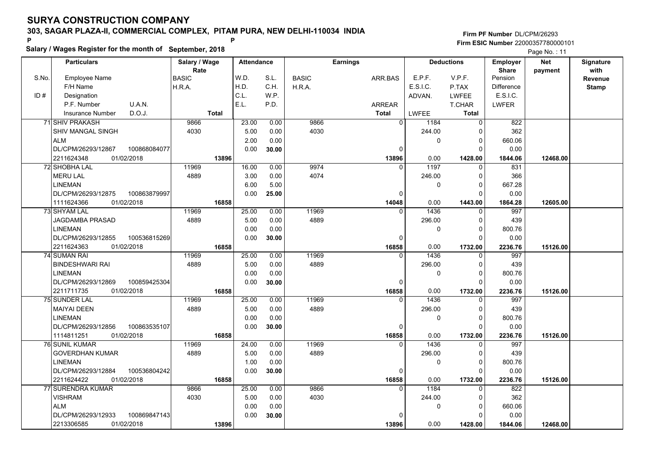**Salary / Wages Register for the month of September, 2018 <sup>P</sup> <sup>P</sup>**

### **Firm PF Number**DL/CPM/26293**Firm ESIC Number** 22000357780000101

|       | <b>Particulars</b>                 | Salary / Wage        | <b>Attendance</b> |       |              | <b>Earnings</b> |              | <b>Deductions</b>       | Employer                | <b>Net</b> | Signature              |
|-------|------------------------------------|----------------------|-------------------|-------|--------------|-----------------|--------------|-------------------------|-------------------------|------------|------------------------|
| S.No. | Employee Name                      | Rate<br><b>BASIC</b> | W.D.              | S.L.  | <b>BASIC</b> | ARR.BAS         | E.P.F.       | V.P.F.                  | <b>Share</b><br>Pension | payment    | with<br><b>Revenue</b> |
|       | F/H Name                           | H.R.A.               | H.D.              | C.H.  | H.R.A.       |                 | E.S.I.C.     | P.TAX                   | <b>Difference</b>       |            | <b>Stamp</b>           |
| ID#   | Designation                        |                      | C.L.              | W.P.  |              |                 | ADVAN.       | <b>LWFEE</b>            | E.S.I.C.                |            |                        |
|       | U.A.N.<br>P.F. Number              |                      | E.L.              | P.D.  |              | ARREAR          |              | <b>T.CHAR</b>           | <b>LWFER</b>            |            |                        |
|       | D.O.J.<br><b>Insurance Number</b>  | <b>Total</b>         |                   |       |              | <b>Total</b>    | <b>LWFEE</b> | Total                   |                         |            |                        |
|       | 71 SHIV PRAKASH                    | 9866                 | 23.00             | 0.00  | 9866         | $\Omega$        | 1184         | 0                       | 822                     |            |                        |
|       | SHIV MANGAL SINGH                  | 4030                 | 5.00              | 0.00  | 4030         |                 | 244.00       | $\Omega$                | 362                     |            |                        |
|       | <b>ALM</b>                         |                      | 2.00              | 0.00  |              |                 | $\Omega$     | $\mathbf 0$             | 660.06                  |            |                        |
|       | DL/CPM/26293/12867<br>100868084077 |                      | 0.00              | 30.00 |              | $\mathbf 0$     |              | $\Omega$                | 0.00                    |            |                        |
|       | 2211624348<br>01/02/2018           | 13896                |                   |       |              | 13896           | 0.00         | 1428.00                 | 1844.06                 | 12468.00   |                        |
|       | 72 SHOBHA LAL                      | 11969                | 16.00             | 0.00  | 9974         | $\Omega$        | 1197         | 0                       | 831                     |            |                        |
|       | <b>MERU LAL</b>                    | 4889                 | 3.00              | 0.00  | 4074         |                 | 246.00       | $\Omega$                | 366                     |            |                        |
|       | <b>LINEMAN</b>                     |                      | 6.00              | 5.00  |              |                 | 0            | $\mathbf 0$             | 667.28                  |            |                        |
|       | DL/CPM/26293/12875<br>100863879997 |                      | 0.00              | 25.00 |              | $\Omega$        |              | $\Omega$                | 0.00                    |            |                        |
|       | 01/02/2018<br>1111624366           | 16858                |                   |       |              | 14048           | 0.00         | 1443.00                 | 1864.28                 | 12605.00   |                        |
|       | 73 SHYAM LAL                       | 11969                | 25.00             | 0.00  | 11969        | $\Omega$        | 1436         | 0                       | 997                     |            |                        |
|       | <b>JAGDAMBA PRASAD</b>             | 4889                 | 5.00              | 0.00  | 4889         |                 | 296.00       | $\Omega$                | 439                     |            |                        |
|       | <b>LINEMAN</b>                     |                      | 0.00              | 0.00  |              |                 | 0            | $\Omega$                | 800.76                  |            |                        |
|       | DL/CPM/26293/12855<br>100536815269 |                      | 0.00              | 30.00 |              | $\mathbf 0$     |              | $\Omega$                | 0.00                    |            |                        |
|       | 2211624363<br>01/02/2018           | 16858                |                   |       |              | 16858           | 0.00         | 1732.00                 | 2236.76                 | 15126.00   |                        |
|       | 74 SUMAN RAI                       | 11969                | 25.00             | 0.00  | 11969        | $\Omega$        | 1436         | $\Omega$                | 997                     |            |                        |
|       | <b>BINDESHWARI RAI</b>             | 4889                 | 5.00              | 0.00  | 4889         |                 | 296.00       | $\Omega$                | 439                     |            |                        |
|       | <b>LINEMAN</b>                     |                      | 0.00              | 0.00  |              |                 | 0            | $\Omega$                | 800.76                  |            |                        |
|       | DL/CPM/26293/12869<br>100859425304 |                      | 0.00              | 30.00 |              | $\mathbf 0$     |              | $\Omega$                | 0.00                    |            |                        |
|       | 2211711735<br>01/02/2018           | 16858                |                   |       |              | 16858           | 0.00         | 1732.00                 | 2236.76                 | 15126.00   |                        |
|       | 75 SUNDER LAL                      | 11969                | 25.00             | 0.00  | 11969        | $\Omega$        | 1436         | $\Omega$                | 997                     |            |                        |
|       | <b>MAIYAI DEEN</b>                 | 4889                 | 5.00              | 0.00  | 4889         |                 | 296.00       | $\Omega$                | 439                     |            |                        |
|       | <b>LINEMAN</b>                     |                      | 0.00              | 0.00  |              |                 | 0            | $\mathbf 0$             | 800.76                  |            |                        |
|       | DL/CPM/26293/12856<br>100863535107 |                      | 0.00              | 30.00 |              | 0               |              | $\Omega$                | 0.00                    |            |                        |
|       | 1114811251<br>01/02/2018           | 16858                |                   |       |              | 16858           | 0.00         | 1732.00                 | 2236.76                 | 15126.00   |                        |
|       | 76 SUNIL KUMAR                     | 11969                | 24.00             | 0.00  | 11969        | $\Omega$        | 1436         | $\Omega$                | 997                     |            |                        |
|       | <b>GOVERDHAN KUMAR</b>             | 4889                 | 5.00              | 0.00  | 4889         |                 | 296.00       | $\Omega$                | 439                     |            |                        |
|       | <b>LINEMAN</b>                     |                      | 1.00              | 0.00  |              |                 | 0            | $\mathbf 0$             | 800.76                  |            |                        |
|       | 100536804242<br>DL/CPM/26293/12884 |                      | 0.00              | 30.00 |              | $\mathbf 0$     |              | $\Omega$                | 0.00                    |            |                        |
|       | 2211624422<br>01/02/2018           | 16858                |                   |       |              | 16858           | 0.00         | 1732.00                 | 2236.76                 | 15126.00   |                        |
|       | <b>77 SURENDRA KUMAR</b>           | 9866                 | 25.00             | 0.00  | 9866<br>4030 | $\Omega$        | 1184         | $\Omega$                | 822<br>362              |            |                        |
|       | <b>VISHRAM</b>                     | 4030                 | 5.00              | 0.00  |              |                 | 244.00       | $\mathbf 0$             |                         |            |                        |
|       | <b>ALM</b>                         |                      | 0.00              | 0.00  |              |                 | 0            | $\mathbf 0$<br>$\Omega$ | 660.06                  |            |                        |
|       | DL/CPM/26293/12933<br>100869847143 |                      | 0.00              | 30.00 |              | $\Omega$        |              |                         | 0.00                    |            |                        |
|       | 2213306585<br>01/02/2018           | 13896                |                   |       |              | 13896           | 0.00         | 1428.00                 | 1844.06                 | 12468.00   |                        |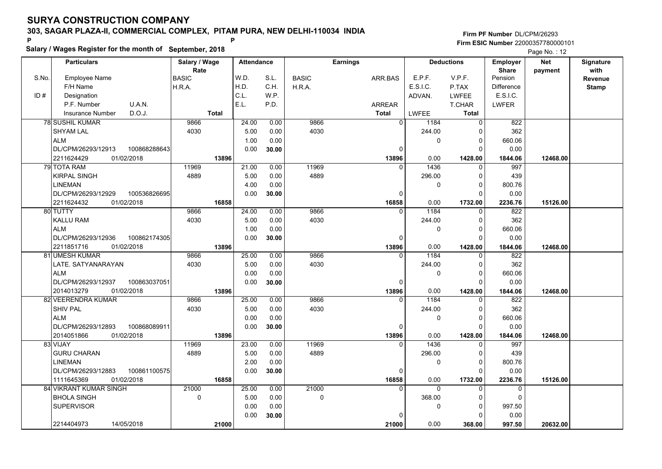**Salary / Wages Register for the month of September, 2018 <sup>P</sup> <sup>P</sup>**

### **Firm PF Number**DL/CPM/26293**Firm ESIC Number** 22000357780000101

|       | <b>Particulars</b>                 | Salary / Wage        | <b>Attendance</b> |       |              | <b>Earnings</b> |              | <b>Deductions</b> | Employer                | <b>Net</b> | Signature              |
|-------|------------------------------------|----------------------|-------------------|-------|--------------|-----------------|--------------|-------------------|-------------------------|------------|------------------------|
| S.No. | Employee Name                      | Rate<br><b>BASIC</b> | W.D.              | S.L.  | <b>BASIC</b> | ARR.BAS         | E.P.F.       | V.P.F.            | <b>Share</b><br>Pension | payment    | with<br><b>Revenue</b> |
|       | F/H Name                           | H.R.A.               | H.D.              | C.H.  | H.R.A.       |                 | E.S.I.C.     | P.TAX             | <b>Difference</b>       |            | <b>Stamp</b>           |
| ID#   | Designation                        |                      | C.L.              | W.P.  |              |                 | ADVAN.       | <b>LWFEE</b>      | E.S.I.C.                |            |                        |
|       | U.A.N.<br>P.F. Number              |                      | E.L.              | P.D.  |              | ARREAR          |              | <b>T.CHAR</b>     | <b>LWFER</b>            |            |                        |
|       | D.O.J.<br><b>Insurance Number</b>  | <b>Total</b>         |                   |       |              | <b>Total</b>    | <b>LWFEE</b> | Total             |                         |            |                        |
|       | 78 SUSHIL KUMAR                    | 9866                 | 24.00             | 0.00  | 9866         | $\Omega$        | 1184         | 0                 | 822                     |            |                        |
|       | <b>SHYAM LAL</b>                   | 4030                 | 5.00              | 0.00  | 4030         |                 | 244.00       | $\Omega$          | 362                     |            |                        |
|       | <b>ALM</b>                         |                      | 1.00              | 0.00  |              |                 | $\Omega$     | $\mathbf 0$       | 660.06                  |            |                        |
|       | DL/CPM/26293/12913<br>100868288643 |                      | 0.00              | 30.00 |              | $\mathbf 0$     |              | $\Omega$          | 0.00                    |            |                        |
|       | 2211624429<br>01/02/2018           | 13896                |                   |       |              | 13896           | 0.00         | 1428.00           | 1844.06                 | 12468.00   |                        |
|       | 79 TOTA RAM                        | 11969                | 21.00             | 0.00  | 11969        | $\Omega$        | 1436         | 0                 | 997                     |            |                        |
|       | <b>KIRPAL SINGH</b>                | 4889                 | 5.00              | 0.00  | 4889         |                 | 296.00       | $\Omega$          | 439                     |            |                        |
|       | <b>LINEMAN</b>                     |                      | 4.00              | 0.00  |              |                 | 0            | $\Omega$          | 800.76                  |            |                        |
|       | DL/CPM/26293/12929<br>100536826695 |                      | 0.00              | 30.00 |              | $\mathbf 0$     |              | $\Omega$          | 0.00                    |            |                        |
|       | 2211624432<br>01/02/2018           | 16858                |                   |       |              | 16858           | 0.00         | 1732.00           | 2236.76                 | 15126.00   |                        |
|       | 80 TUTTY                           | 9866                 | 24.00             | 0.00  | 9866         | $\Omega$        | 1184         | 0                 | 822                     |            |                        |
|       | <b>KALLU RAM</b>                   | 4030                 | 5.00              | 0.00  | 4030         |                 | 244.00       | $\Omega$          | 362                     |            |                        |
|       | <b>ALM</b>                         |                      | 1.00              | 0.00  |              |                 | 0            | $\Omega$          | 660.06                  |            |                        |
|       | DL/CPM/26293/12936<br>100862174305 |                      | 0.00              | 30.00 |              | $\mathbf 0$     |              | $\Omega$          | 0.00                    |            |                        |
|       | 2211851716<br>01/02/2018           | 13896                |                   |       |              | 13896           | 0.00         | 1428.00           | 1844.06                 | 12468.00   |                        |
|       | 81 UMESH KUMAR                     | 9866                 | 25.00             | 0.00  | 9866         | $\Omega$        | 1184         | $\Omega$          | 822                     |            |                        |
|       | LATE. SATYANARAYAN                 | 4030                 | 5.00              | 0.00  | 4030         |                 | 244.00       | $\Omega$          | 362                     |            |                        |
|       | <b>ALM</b>                         |                      | 0.00              | 0.00  |              |                 | 0            | $\Omega$          | 660.06                  |            |                        |
|       | DL/CPM/26293/12937<br>100863037051 |                      | 0.00              | 30.00 |              | $\mathbf 0$     |              | $\Omega$          | 0.00                    |            |                        |
|       | 2014013279<br>01/02/2018           | 13896                |                   |       |              | 13896           | 0.00         | 1428.00           | 1844.06                 | 12468.00   |                        |
|       | 82 VEERENDRA KUMAR                 | 9866                 | 25.00             | 0.00  | 9866         | $\Omega$        | 1184         | $\Omega$          | 822                     |            |                        |
|       | <b>SHIV PAL</b>                    | 4030                 | 5.00              | 0.00  | 4030         |                 | 244.00       | $\Omega$          | 362                     |            |                        |
|       | <b>ALM</b>                         |                      | 0.00              | 0.00  |              |                 | 0            | $\mathbf 0$       | 660.06                  |            |                        |
|       | DL/CPM/26293/12893<br>100868089911 |                      | 0.00              | 30.00 |              | 0               |              | $\Omega$          | 0.00                    |            |                        |
|       | 2014051866<br>01/02/2018           | 13896                |                   |       |              | 13896           | 0.00         | 1428.00           | 1844.06                 | 12468.00   |                        |
|       | 83 VIJAY                           | 11969                | 23.00             | 0.00  | 11969        | $\Omega$        | 1436         | $\Omega$          | 997                     |            |                        |
|       | <b>GURU CHARAN</b>                 | 4889                 | 5.00              | 0.00  | 4889         |                 | 296.00       | $\Omega$          | 439                     |            |                        |
|       | <b>LINEMAN</b>                     |                      | 2.00              | 0.00  |              |                 | 0            | $\mathbf 0$       | 800.76                  |            |                        |
|       | 100861100575<br>DL/CPM/26293/12883 |                      | 0.00              | 30.00 |              | $\mathbf 0$     |              | $\Omega$          | 0.00                    |            |                        |
|       | 1111645369<br>01/02/2018           | 16858                |                   |       |              | 16858           | 0.00         | 1732.00           | 2236.76                 | 15126.00   |                        |
|       | 84 VIKRANT KUMAR SINGH             | 21000                | 25.00             | 0.00  | 21000        | $\Omega$        | $\Omega$     | $\Omega$          | $\Omega$                |            |                        |
|       | <b>BHOLA SINGH</b>                 | $\mathbf 0$          | 5.00              | 0.00  | $\mathbf 0$  |                 | 368.00       | $\Omega$          | 0                       |            |                        |
|       | <b>SUPERVISOR</b>                  |                      | 0.00              | 0.00  |              |                 | 0            | $\mathbf 0$       | 997.50                  |            |                        |
|       |                                    |                      | 0.00              | 30.00 |              | $\Omega$        |              | $\Omega$          | 0.00                    |            |                        |
|       | 2214404973<br>14/05/2018           | 21000                |                   |       |              | 21000           | 0.00         | 368.00            | 997.50                  | 20632.00   |                        |